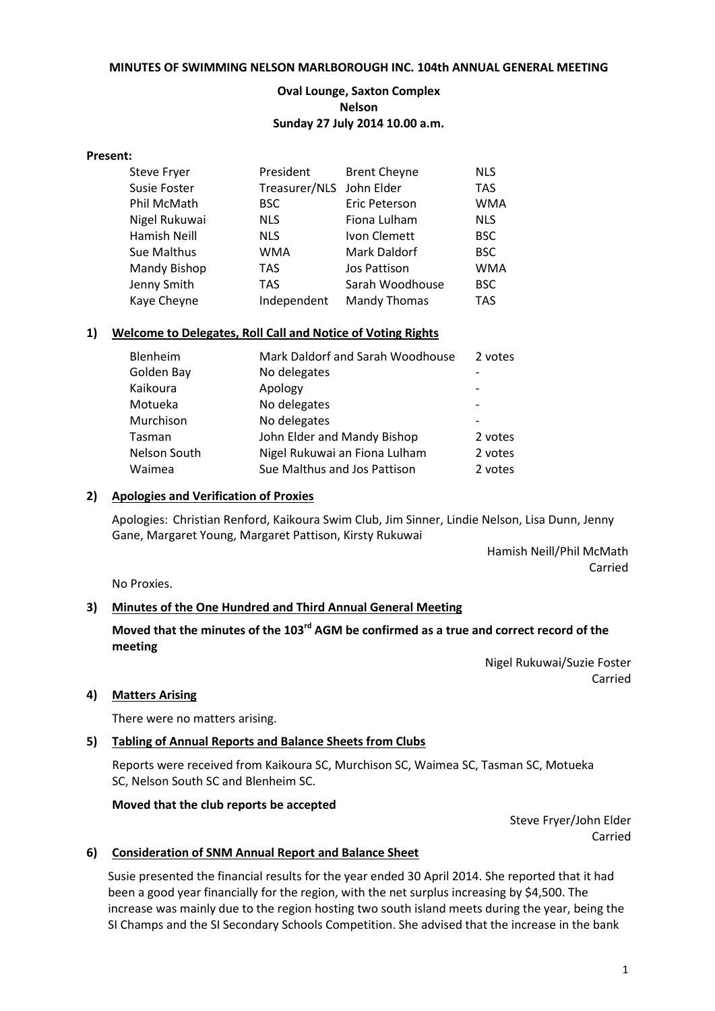#### **MINUTES OF SWIMMING NELSON MARLBOROUGH INC. 104th ANNUAL GENERAL MEETING**

### **Oval Lounge, Saxton Complex Nelson Sunday 27 July 2014 10.00 a.m.**

#### **Present:**

| <b>Steve Fryer</b>  | President                | <b>Brent Cheyne</b> | <b>NLS</b> |
|---------------------|--------------------------|---------------------|------------|
| <b>Susie Foster</b> | Treasurer/NLS John Elder |                     | <b>TAS</b> |
| Phil McMath         | <b>BSC</b>               | Eric Peterson       | <b>WMA</b> |
| Nigel Rukuwai       | <b>NLS</b>               | Fiona Lulham        | <b>NLS</b> |
| Hamish Neill        | <b>NLS</b>               | Ivon Clemett        | <b>BSC</b> |
| Sue Malthus         | <b>WMA</b>               | Mark Daldorf        | <b>BSC</b> |
| Mandy Bishop        | <b>TAS</b>               | Jos Pattison        | <b>WMA</b> |
| Jenny Smith         | <b>TAS</b>               | Sarah Woodhouse     | <b>BSC</b> |
| Kaye Cheyne         | Independent              | <b>Mandy Thomas</b> | <b>TAS</b> |

#### **1) Welcome to Delegates, Roll Call and Notice of Voting Rights**

| Mark Daldorf and Sarah Woodhouse | 2 votes |
|----------------------------------|---------|
| No delegates                     |         |
| Apology                          |         |
| No delegates                     |         |
| No delegates                     |         |
| John Elder and Mandy Bishop      | 2 votes |
| Nigel Rukuwai an Fiona Lulham    | 2 votes |
| Sue Malthus and Jos Pattison     | 2 votes |
|                                  |         |

#### **2) Apologies and Verification of Proxies**

Apologies: Christian Renford, Kaikoura Swim Club, Jim Sinner, Lindie Nelson, Lisa Dunn, Jenny Gane, Margaret Young, Margaret Pattison, Kirsty Rukuwai

> Hamish Neill/Phil McMath Carried

No Proxies.

#### **3) Minutes of the One Hundred and Third Annual General Meeting**

# Moved that the minutes of the 103<sup>rd</sup> AGM be confirmed as a true and correct record of the **meeting**

Nigel Rukuwai/Suzie Foster Carried

#### **4) Matters Arising**

There were no matters arising.

#### **5) Tabling of Annual Reports and Balance Sheets from Clubs**

Reports were received from Kaikoura SC, Murchison SC, Waimea SC, Tasman SC, Motueka SC, Nelson South SC and Blenheim SC.

#### **Moved that the club reports be accepted**

Steve Fryer/John Elder Carried

#### **6) Consideration of SNM Annual Report and Balance Sheet**

Susie presented the financial results for the year ended 30 April 2014. She reported that it had been a good year financially for the region, with the net surplus increasing by \$4,500. The increase was mainly due to the region hosting two south island meets during the year, being the SI Champs and the SI Secondary Schools Competition. She advised that the increase in the bank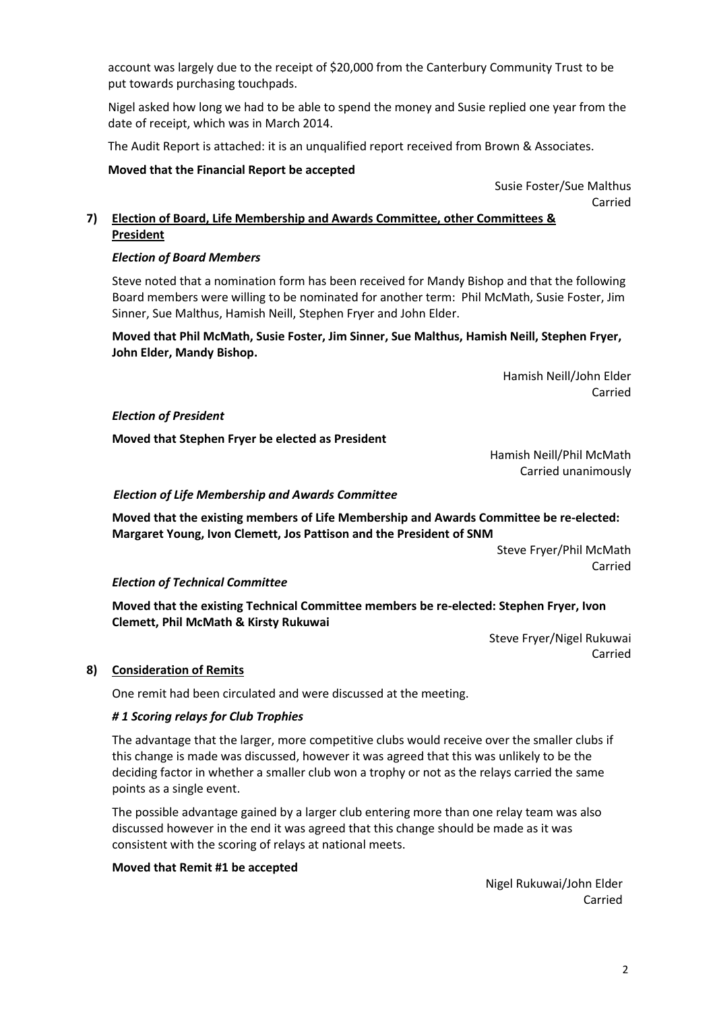account was largely due to the receipt of \$20,000 from the Canterbury Community Trust to be put towards purchasing touchpads.

Nigel asked how long we had to be able to spend the money and Susie replied one year from the date of receipt, which was in March 2014.

The Audit Report is attached: it is an unqualified report received from Brown & Associates.

### **Moved that the Financial Report be accepted**

Susie Foster/Sue Malthus Carried

## **7) Election of Board, Life Membership and Awards Committee, other Committees & President**

## *Election of Board Members*

Steve noted that a nomination form has been received for Mandy Bishop and that the following Board members were willing to be nominated for another term: Phil McMath, Susie Foster, Jim Sinner, Sue Malthus, Hamish Neill, Stephen Fryer and John Elder.

## **Moved that Phil McMath, Susie Foster, Jim Sinner, Sue Malthus, Hamish Neill, Stephen Fryer, John Elder, Mandy Bishop.**

 Hamish Neill/John Elder Carried

#### *Election of President*

**Moved that Stephen Fryer be elected as President**

Hamish Neill/Phil McMath Carried unanimously

## *Election of Life Membership and Awards Committee*

**Moved that the existing members of Life Membership and Awards Committee be re-elected: Margaret Young, Ivon Clemett, Jos Pattison and the President of SNM**

> Steve Fryer/Phil McMath Carried

# *Election of Technical Committee*

**Moved that the existing Technical Committee members be re-elected: Stephen Fryer, Ivon Clemett, Phil McMath & Kirsty Rukuwai**

> Steve Fryer/Nigel Rukuwai Carried

#### **8) Consideration of Remits**

One remit had been circulated and were discussed at the meeting.

#### *# 1 Scoring relays for Club Trophies*

The advantage that the larger, more competitive clubs would receive over the smaller clubs if this change is made was discussed, however it was agreed that this was unlikely to be the deciding factor in whether a smaller club won a trophy or not as the relays carried the same points as a single event.

The possible advantage gained by a larger club entering more than one relay team was also discussed however in the end it was agreed that this change should be made as it was consistent with the scoring of relays at national meets.

#### **Moved that Remit #1 be accepted**

Nigel Rukuwai/John Elder Carried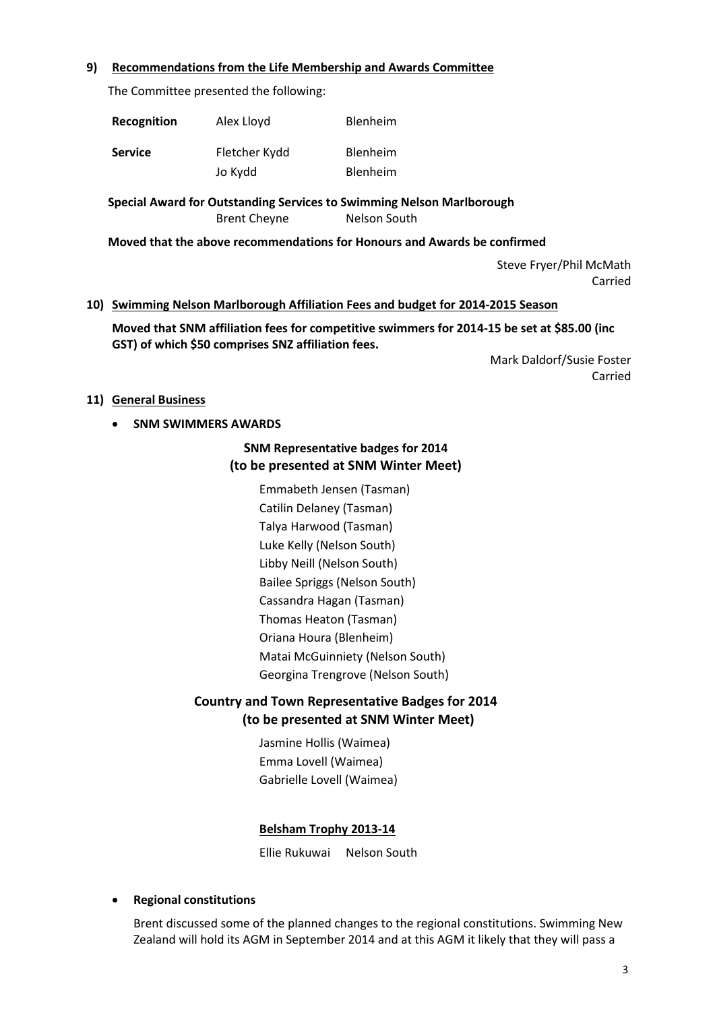### **9) Recommendations from the Life Membership and Awards Committee**

The Committee presented the following:

| Recognition    | Alex Lloyd    | Blenheim        |
|----------------|---------------|-----------------|
| <b>Service</b> | Fletcher Kydd | <b>Blenheim</b> |
|                | Jo Kydd       | Blenheim        |

**Special Award for Outstanding Services to Swimming Nelson Marlborough** Brent Chevne Nelson South

**Moved that the above recommendations for Honours and Awards be confirmed**

Steve Fryer/Phil McMath Carried

#### **10) Swimming Nelson Marlborough Affiliation Fees and budget for 2014-2015 Season**

**Moved that SNM affiliation fees for competitive swimmers for 2014-15 be set at \$85.00 (inc GST) of which \$50 comprises SNZ affiliation fees.**

> Mark Daldorf/Susie Foster Carried

#### **11) General Business**

**• SNM SWIMMERS AWARDS** 

# **SNM Representative badges for 2014 (to be presented at SNM Winter Meet)**

Emmabeth Jensen (Tasman) Catilin Delaney (Tasman) Talya Harwood (Tasman) Luke Kelly (Nelson South) Libby Neill (Nelson South) Bailee Spriggs (Nelson South) Cassandra Hagan (Tasman) Thomas Heaton (Tasman) Oriana Houra (Blenheim) Matai McGuinniety (Nelson South) Georgina Trengrove (Nelson South)

# **Country and Town Representative Badges for 2014 (to be presented at SNM Winter Meet)**

Jasmine Hollis (Waimea) Emma Lovell (Waimea) Gabrielle Lovell (Waimea)

# **Belsham Trophy 2013-14**

Ellie Rukuwai Nelson South

# **Regional constitutions**

Brent discussed some of the planned changes to the regional constitutions. Swimming New Zealand will hold its AGM in September 2014 and at this AGM it likely that they will pass a